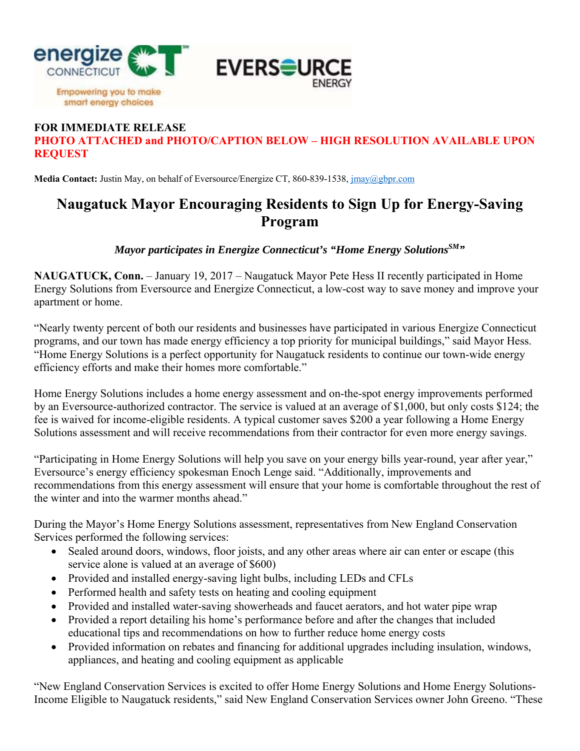

## **FOR IMMEDIATE RELEASE PHOTO ATTACHED and PHOTO/CAPTION BELOW – HIGH RESOLUTION AVAILABLE UPON REQUEST**

**Media Contact:** Justin May, on behalf of Eversource/Energize CT, 860-839-1538, jmay@gbpr.com

## **Naugatuck Mayor Encouraging Residents to Sign Up for Energy-Saving Program**

*Mayor participates in Energize Connecticut's "Home Energy Solutions*  $^{SM}$ "

**NAUGATUCK, Conn.** – January 19, 2017 – Naugatuck Mayor Pete Hess II recently participated in Home Energy Solutions from Eversource and Energize Connecticut, a low-cost way to save money and improve your apartment or home.

"Nearly twenty percent of both our residents and businesses have participated in various Energize Connecticut programs, and our town has made energy efficiency a top priority for municipal buildings," said Mayor Hess. "Home Energy Solutions is a perfect opportunity for Naugatuck residents to continue our town-wide energy efficiency efforts and make their homes more comfortable."

Home Energy Solutions includes a home energy assessment and on-the-spot energy improvements performed by an Eversource-authorized contractor. The service is valued at an average of \$1,000, but only costs \$124; the fee is waived for income-eligible residents. A typical customer saves \$200 a year following a Home Energy Solutions assessment and will receive recommendations from their contractor for even more energy savings.

"Participating in Home Energy Solutions will help you save on your energy bills year-round, year after year," Eversource's energy efficiency spokesman Enoch Lenge said. "Additionally, improvements and recommendations from this energy assessment will ensure that your home is comfortable throughout the rest of the winter and into the warmer months ahead."

During the Mayor's Home Energy Solutions assessment, representatives from New England Conservation Services performed the following services:

- Sealed around doors, windows, floor joists, and any other areas where air can enter or escape (this service alone is valued at an average of \$600)
- Provided and installed energy-saving light bulbs, including LEDs and CFLs
- Performed health and safety tests on heating and cooling equipment
- Provided and installed water-saving showerheads and faucet aerators, and hot water pipe wrap
- Provided a report detailing his home's performance before and after the changes that included educational tips and recommendations on how to further reduce home energy costs
- Provided information on rebates and financing for additional upgrades including insulation, windows, appliances, and heating and cooling equipment as applicable

"New England Conservation Services is excited to offer Home Energy Solutions and Home Energy Solutions-Income Eligible to Naugatuck residents," said New England Conservation Services owner John Greeno. "These